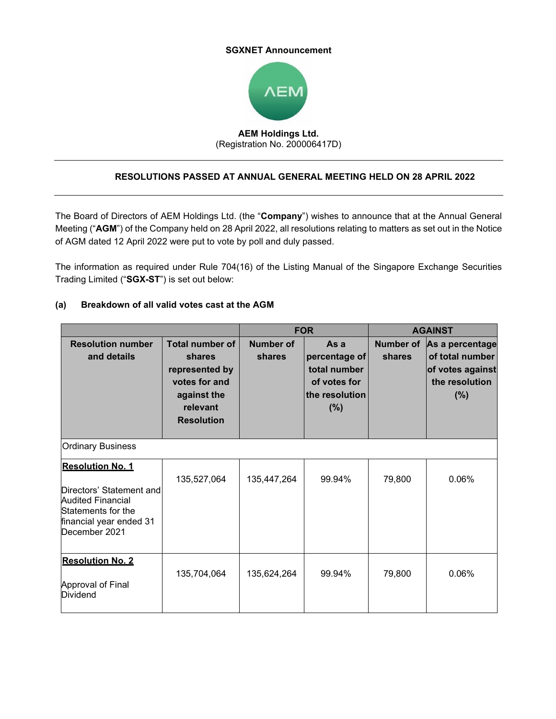#### **SGXNET Announcement**



# **AEM Holdings Ltd.**  (Registration No. 200006417D)

## **RESOLUTIONS PASSED AT ANNUAL GENERAL MEETING HELD ON 28 APRIL 2022**

The Board of Directors of AEM Holdings Ltd. (the "**Company**") wishes to announce that at the Annual General Meeting ("**AGM**") of the Company held on 28 April 2022, all resolutions relating to matters as set out in the Notice of AGM dated 12 April 2022 were put to vote by poll and duly passed.

The information as required under Rule 704(16) of the Listing Manual of the Singapore Exchange Securities Trading Limited ("**SGX-ST**") is set out below:

|                                                                                                                                                   |                                                                                                                     | <b>FOR</b>                 |                                                                                | <b>AGAINST</b>      |                                                                                 |  |  |
|---------------------------------------------------------------------------------------------------------------------------------------------------|---------------------------------------------------------------------------------------------------------------------|----------------------------|--------------------------------------------------------------------------------|---------------------|---------------------------------------------------------------------------------|--|--|
| <b>Resolution number</b><br>and details                                                                                                           | <b>Total number of</b><br>shares<br>represented by<br>votes for and<br>against the<br>relevant<br><b>Resolution</b> | <b>Number of</b><br>shares | As a<br>percentage of<br>total number<br>of votes for<br>the resolution<br>(%) | Number of<br>shares | As a percentage<br>of total number<br>of votes against<br>the resolution<br>(%) |  |  |
| <b>Ordinary Business</b>                                                                                                                          |                                                                                                                     |                            |                                                                                |                     |                                                                                 |  |  |
| <b>Resolution No. 1</b><br>Directors' Statement and<br><b>Audited Financial</b><br>Statements for the<br>financial year ended 31<br>December 2021 | 135,527,064                                                                                                         | 135,447,264                | 99.94%                                                                         | 79,800              | 0.06%                                                                           |  |  |
| <b>Resolution No. 2</b><br>Approval of Final<br>Dividend                                                                                          | 135,704,064                                                                                                         | 135,624,264                | 99.94%                                                                         | 79,800              | 0.06%                                                                           |  |  |

### **(a) Breakdown of all valid votes cast at the AGM**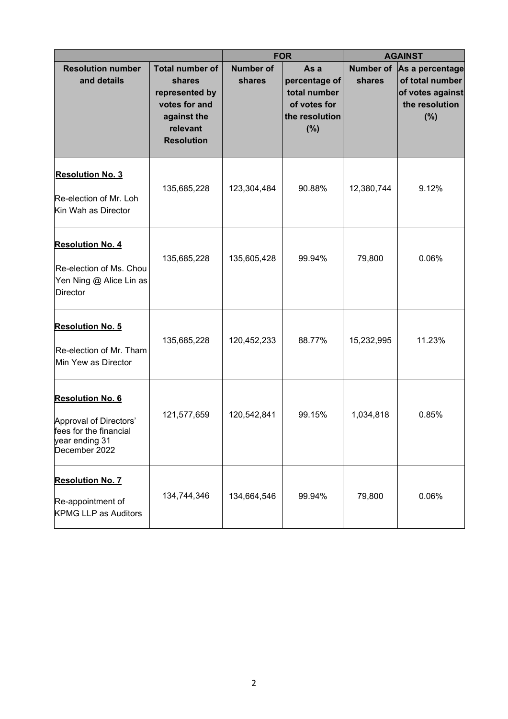|                                                                                                                |                                                                                                                     | <b>FOR</b>                 |                                                                                | <b>AGAINST</b>             |                                                                                 |
|----------------------------------------------------------------------------------------------------------------|---------------------------------------------------------------------------------------------------------------------|----------------------------|--------------------------------------------------------------------------------|----------------------------|---------------------------------------------------------------------------------|
| <b>Resolution number</b><br>and details                                                                        | <b>Total number of</b><br>shares<br>represented by<br>votes for and<br>against the<br>relevant<br><b>Resolution</b> | <b>Number of</b><br>shares | As a<br>percentage of<br>total number<br>of votes for<br>the resolution<br>(%) | <b>Number of</b><br>shares | As a percentage<br>of total number<br>of votes against<br>the resolution<br>(%) |
| <b>Resolution No. 3</b><br>Re-election of Mr. Loh<br>Kin Wah as Director                                       | 135,685,228                                                                                                         | 123,304,484                | 90.88%                                                                         | 12,380,744                 | 9.12%                                                                           |
| <b>Resolution No. 4</b><br>Re-election of Ms. Chou<br>Yen Ning @ Alice Lin as<br><b>Director</b>               | 135,685,228                                                                                                         | 135,605,428                | 99.94%                                                                         | 79,800                     | 0.06%                                                                           |
| <b>Resolution No. 5</b><br>Re-election of Mr. Tham<br>Min Yew as Director                                      | 135,685,228                                                                                                         | 120,452,233                | 88.77%                                                                         | 15,232,995                 | 11.23%                                                                          |
| <b>Resolution No. 6</b><br>Approval of Directors'<br>fees for the financial<br>year ending 31<br>December 2022 | 121,577,659                                                                                                         | 120,542,841                | 99.15%                                                                         | 1,034,818                  | 0.85%                                                                           |
| <b>Resolution No. 7</b><br>Re-appointment of<br><b>KPMG LLP as Auditors</b>                                    | 134,744,346                                                                                                         | 134,664,546                | 99.94%                                                                         | 79,800                     | 0.06%                                                                           |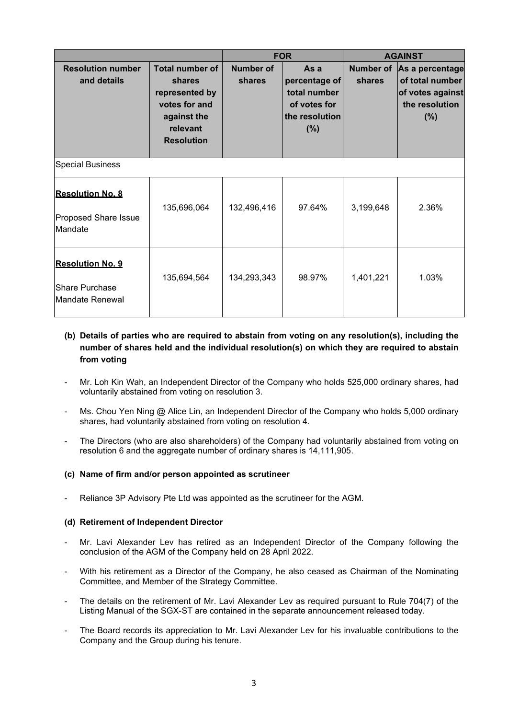|                                                                     |                                                                                                                     | <b>FOR</b>                 |                                                                                   | <b>AGAINST</b>      |                                                                                     |  |  |
|---------------------------------------------------------------------|---------------------------------------------------------------------------------------------------------------------|----------------------------|-----------------------------------------------------------------------------------|---------------------|-------------------------------------------------------------------------------------|--|--|
| <b>Resolution number</b><br>and details                             | <b>Total number of</b><br>shares<br>represented by<br>votes for and<br>against the<br>relevant<br><b>Resolution</b> | <b>Number of</b><br>shares | As a<br>percentage of<br>total number<br>of votes for<br>the resolution<br>$(\%)$ | Number of<br>shares | As a percentage<br>of total number<br>of votes against<br>the resolution<br>$(\% )$ |  |  |
| <b>Special Business</b>                                             |                                                                                                                     |                            |                                                                                   |                     |                                                                                     |  |  |
| <b>Resolution No. 8</b><br><b>Proposed Share Issue</b><br>Mandate   | 135,696,064                                                                                                         | 132,496,416                | 97.64%                                                                            | 3,199,648           | 2.36%                                                                               |  |  |
| <b>Resolution No. 9</b><br><b>Share Purchase</b><br>Mandate Renewal | 135,694,564                                                                                                         | 134,293,343                | 98.97%                                                                            | 1,401,221           | 1.03%                                                                               |  |  |

- **(b) Details of parties who are required to abstain from voting on any resolution(s), including the number of shares held and the individual resolution(s) on which they are required to abstain from voting**
- Mr. Loh Kin Wah, an Independent Director of the Company who holds 525,000 ordinary shares, had voluntarily abstained from voting on resolution 3.
- Ms. Chou Yen Ning @ Alice Lin, an Independent Director of the Company who holds 5,000 ordinary shares, had voluntarily abstained from voting on resolution 4.
- The Directors (who are also shareholders) of the Company had voluntarily abstained from voting on resolution 6 and the aggregate number of ordinary shares is 14,111,905.

### **(c) Name of firm and/or person appointed as scrutineer**

Reliance 3P Advisory Pte Ltd was appointed as the scrutineer for the AGM.

#### **(d) Retirement of Independent Director**

- Mr. Lavi Alexander Lev has retired as an Independent Director of the Company following the conclusion of the AGM of the Company held on 28 April 2022.
- With his retirement as a Director of the Company, he also ceased as Chairman of the Nominating Committee, and Member of the Strategy Committee.
- The details on the retirement of Mr. Lavi Alexander Lev as required pursuant to Rule 704(7) of the Listing Manual of the SGX-ST are contained in the separate announcement released today.
- The Board records its appreciation to Mr. Lavi Alexander Lev for his invaluable contributions to the Company and the Group during his tenure.